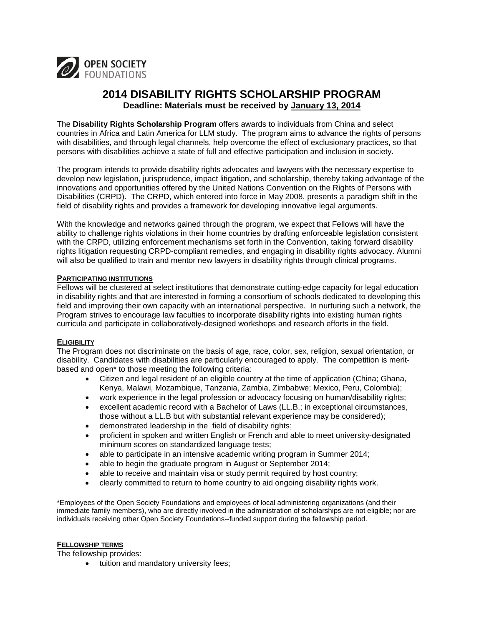

# **2014 DISABILITY RIGHTS SCHOLARSHIP PROGRAM Deadline: Materials must be received by January 13, 2014**

The **Disability Rights Scholarship Program** offers awards to individuals from China and select countries in Africa and Latin America for LLM study. The program aims to advance the rights of persons with disabilities, and through legal channels, help overcome the effect of exclusionary practices, so that persons with disabilities achieve a state of full and effective participation and inclusion in society.

The program intends to provide disability rights advocates and lawyers with the necessary expertise to develop new legislation, jurisprudence, impact litigation, and scholarship, thereby taking advantage of the innovations and opportunities offered by the United Nations Convention on the Rights of Persons with Disabilities (CRPD). The CRPD, which entered into force in May 2008, presents a paradigm shift in the field of disability rights and provides a framework for developing innovative legal arguments.

With the knowledge and networks gained through the program, we expect that Fellows will have the ability to challenge rights violations in their home countries by drafting enforceable legislation consistent with the CRPD, utilizing enforcement mechanisms set forth in the Convention, taking forward disability rights litigation requesting CRPD-compliant remedies, and engaging in disability rights advocacy. Alumni will also be qualified to train and mentor new lawyers in disability rights through clinical programs.

## **PARTICIPATING INSTITUTIONS**

Fellows will be clustered at select institutions that demonstrate cutting-edge capacity for legal education in disability rights and that are interested in forming a consortium of schools dedicated to developing this field and improving their own capacity with an international perspective. In nurturing such a network, the Program strives to encourage law faculties to incorporate disability rights into existing human rights curricula and participate in collaboratively-designed workshops and research efforts in the field.

#### **ELIGIBILITY**

The Program does not discriminate on the basis of age, race, color, sex, religion, sexual orientation, or disability. Candidates with disabilities are particularly encouraged to apply. The competition is meritbased and open\* to those meeting the following criteria:

- Citizen and legal resident of an eligible country at the time of application (China: Ghana, Kenya, Malawi, Mozambique, Tanzania, Zambia, Zimbabwe; Mexico, Peru, Colombia);
- work experience in the legal profession or advocacy focusing on human/disability rights;
- excellent academic record with a Bachelor of Laws (LL.B.; in exceptional circumstances, those without a LL.B but with substantial relevant experience may be considered);
- demonstrated leadership in the field of disability rights;
- proficient in spoken and written English or French and able to meet university-designated minimum scores on standardized language tests;
- able to participate in an intensive academic writing program in Summer 2014;
- able to begin the graduate program in August or September 2014;
- able to receive and maintain visa or study permit required by host country;
- clearly committed to return to home country to aid ongoing disability rights work.

\*Employees of the Open Society Foundations and employees of local administering organizations (and their immediate family members), who are directly involved in the administration of scholarships are not eligible; nor are individuals receiving other Open Society Foundations--funded support during the fellowship period.

#### **FELLOWSHIP TERMS**

The fellowship provides:

• tuition and mandatory university fees;